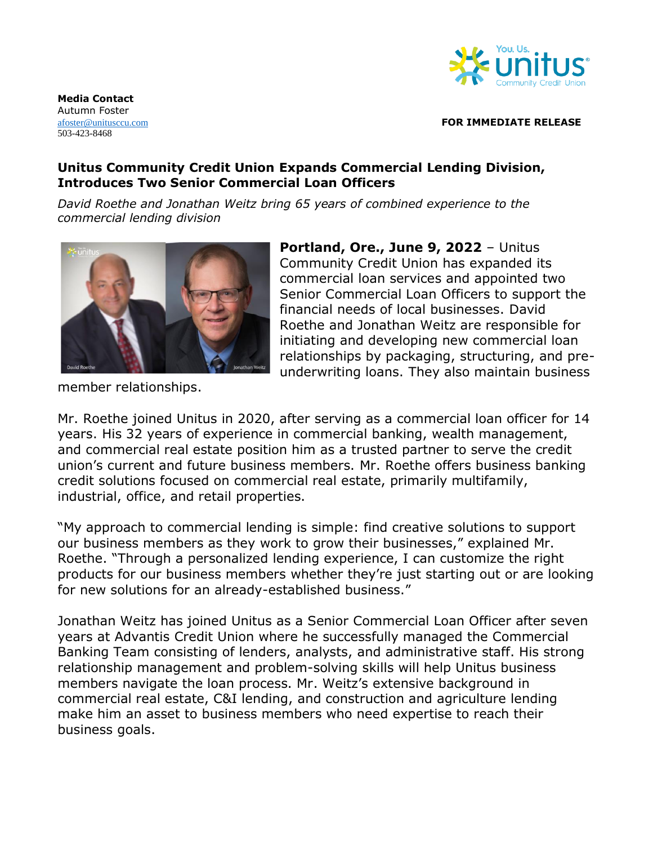

**Media Contact**  Autumn Foster 503-423-8468

## [afoster@unitusccu.com](mailto:afoster@unitusccu.com) **FOR IMMEDIATE RELEASE**

## **Unitus Community Credit Union Expands Commercial Lending Division, Introduces Two Senior Commercial Loan Officers**

*David Roethe and Jonathan Weitz bring 65 years of combined experience to the commercial lending division* 



member relationships.

**Portland, Ore., June 9, 2022** – Unitus Community Credit Union has expanded its commercial loan services and appointed two Senior Commercial Loan Officers to support the financial needs of local businesses. David Roethe and Jonathan Weitz are responsible for initiating and developing new commercial loan relationships by packaging, structuring, and preunderwriting loans. They also maintain business

Mr. Roethe joined Unitus in 2020, after serving as a commercial loan officer for 14 years. His 32 years of experience in commercial banking, wealth management, and commercial real estate position him as a trusted partner to serve the credit union's current and future business members. Mr. Roethe offers business banking credit solutions focused on commercial real estate, primarily multifamily, industrial, office, and retail properties.

"My approach to commercial lending is simple: find creative solutions to support our business members as they work to grow their businesses," explained Mr. Roethe. "Through a personalized lending experience, I can customize the right products for our business members whether they're just starting out or are looking for new solutions for an already-established business."

Jonathan Weitz has joined Unitus as a Senior Commercial Loan Officer after seven years at Advantis Credit Union where he successfully managed the Commercial Banking Team consisting of lenders, analysts, and administrative staff. His strong relationship management and problem-solving skills will help Unitus business members navigate the loan process. Mr. Weitz's extensive background in commercial real estate, C&I lending, and construction and agriculture lending make him an asset to business members who need expertise to reach their business goals.